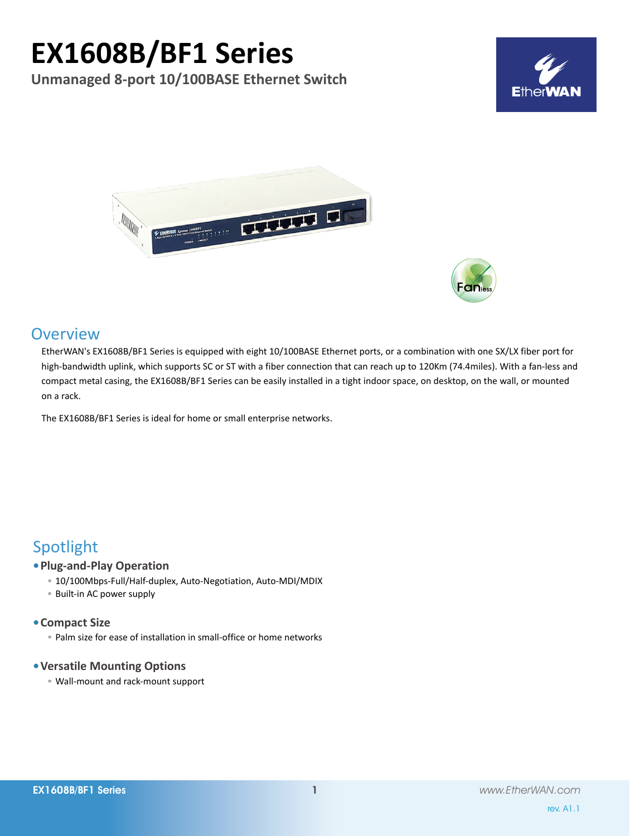# **EX1608B/BF1 Series**

**Unmanaged 8-port 10/100BASE Ethernet Switch**







# **Overview**

EtherWAN's EX1608B/BF1 Series is equipped with eight 10/100BASE Ethernet ports, or a combination with one SX/LX fiber port for high-bandwidth uplink, which supports SC or ST with a fiber connection that can reach up to 120Km (74.4miles). With a fan-less and compact metal casing, the EX1608B/BF1 Series can be easily installed in a tight indoor space, on desktop, on the wall, or mounted on a rack.

The EX1608B/BF1 Series is ideal for home or small enterprise networks.

# Spotlight

### **• Plug-and-Play Operation**

- 10/100Mbps-Full/Half-duplex, Auto-Negotiation, Auto-MDI/MDIX
- Built-in AC power supply

### **• Compact Size**

◦ Palm size for ease of installation in small-office or home networks

## **• Versatile Mounting Options**

◦ Wall-mount and rack-mount support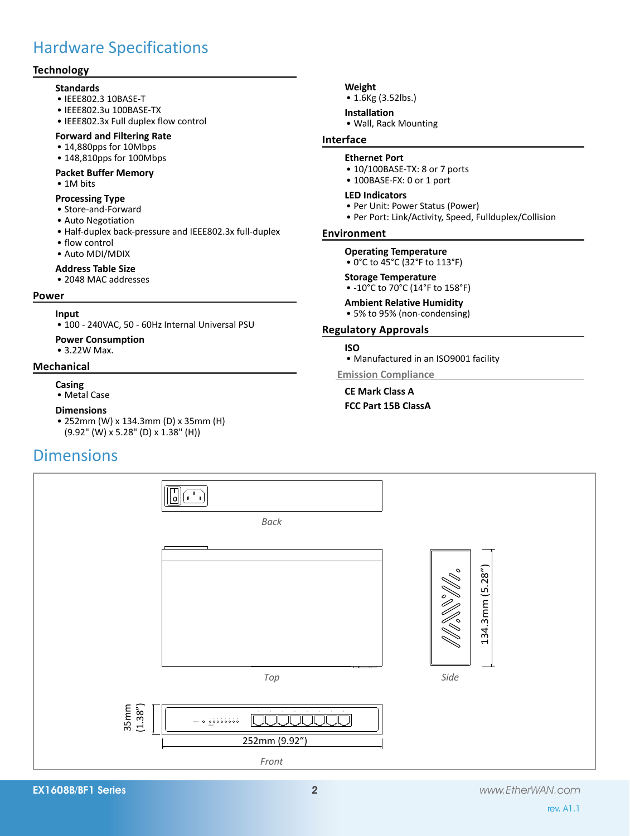# Hardware Specifications

# **Technology**

- **Standards**
- • IEEE802.3 10BASE-T
- • IEEE802.3u 100BASE-TX
- • IEEE802.3x Full duplex flow control
- **Forward and Filtering Rate**
- • 14,880pps for 10Mbps
- 148,810pps for 100Mbps

#### **Packet Buffer Memory**

• 1M bits

#### **Processing Type**

- Store-and-Forward
- Auto Negotiation
- • Half-duplex back-pressure and IEEE802.3x full-duplex
- flow control
- • Auto MDI/MDIX

#### **Address Table Size**

• 2048 MAC addresses

#### **Power**

#### **Input**

- • 100 240VAC, 50 60Hz Internal Universal PSU
- **Power Consumption**
- 3.22W Max.

#### **Mechanical**

- **Casing**
- • Metal Case

#### **Dimensions**

• 252mm (W) x 134.3mm (D) x 35mm (H) (9.92" (W) x 5.28" (D) x 1.38" (H))

# **Dimensions**



• 1.6Kg (3.52lbs.)

#### **Installation**

• Wall, Rack Mounting

# **Interface**

# **Ethernet Port**

- 10/100BASE-TX: 8 or 7 ports
- 100BASE-FX: 0 or 1 port

#### **LED Indicators**

- Per Unit: Power Status (Power)
- Per Port: Link/Activity, Speed, Fullduplex/Collision

#### **Environment**

#### **Operating Temperature**

• 0°C to 45°C (32°F to 113°F)

#### **Storage Temperature**

• -10°C to 70°C (14°F to 158°F)

#### **Ambient Relative Humidity**

• 5% to 95% (non-condensing)

### **Regulatory Approvals**

#### **ISO**

• Manufactured in an ISO9001 facility

#### **Emission Compliance**

**CE Mark Class A**

#### **FCC Part 15B ClassA**